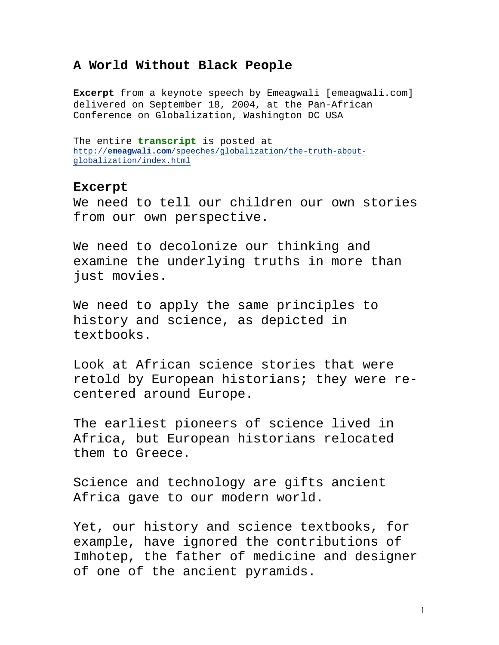## **A World Without Black People**

**Excerpt** from a keynote speech by Emeagwali [emeagwali.com] delivered on September 18, 2004, at the Pan-African Conference on Globalization, Washington DC USA

The entire **transcript** is posted at http://**emeagwali.com**/speeches/globalization/the-truth-aboutglobalization/index.html

## **Excerpt**

We need to tell our children our own stories from our own perspective.

We need to decolonize our thinking and examine the underlying truths in more than just movies.

We need to apply the same principles to history and science, as depicted in textbooks.

Look at African science stories that were retold by European historians; they were recentered around Europe.

The earliest pioneers of science lived in Africa, but European historians relocated them to Greece.

Science and technology are gifts ancient Africa gave to our modern world.

Yet, our history and science textbooks, for example, have ignored the contributions of Imhotep, the father of medicine and designer of one of the ancient pyramids.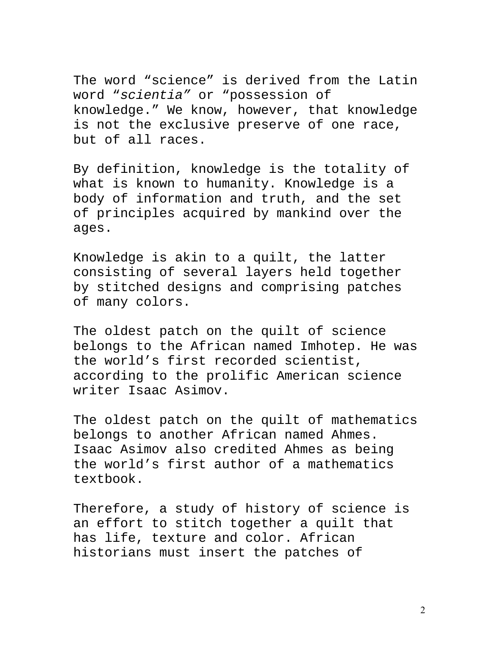The word "science" is derived from the Latin word "scientia" or "possession of knowledge." We know, however, that knowledge is not the exclusive preserve of one race, but of all races.

By definition, knowledge is the totality of what is known to humanity. Knowledge is a body of information and truth, and the set of principles acquired by mankind over the ages.

Knowledge is akin to a quilt, the latter consisting of several layers held together by stitched designs and comprising patches of many colors.

The oldest patch on the quilt of science belongs to the African named Imhotep. He was the world's first recorded scientist, according to the prolific American science writer Isaac Asimov.

The oldest patch on the quilt of mathematics belongs to another African named Ahmes. Isaac Asimov also credited Ahmes as being the world's first author of a mathematics textbook.

Therefore, a study of history of science is an effort to stitch together a quilt that has life, texture and color. African historians must insert the patches of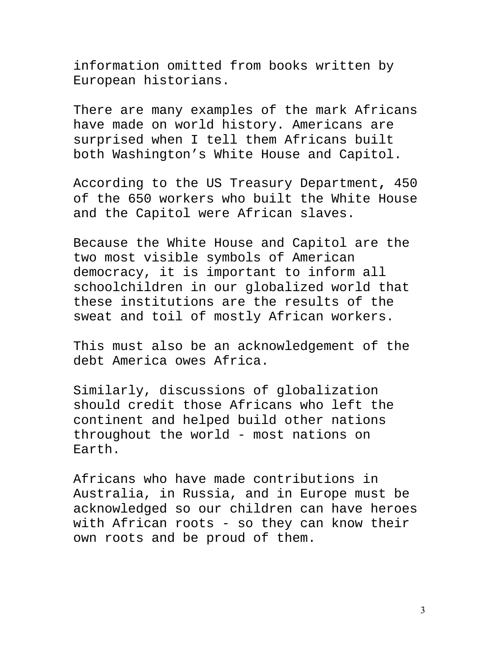information omitted from books written by European historians.

There are many examples of the mark Africans have made on world history. Americans are surprised when I tell them Africans built both Washington's White House and Capitol.

According to the US Treasury Department**,** 450 of the 650 workers who built the White House and the Capitol were African slaves.

Because the White House and Capitol are the two most visible symbols of American democracy, it is important to inform all schoolchildren in our globalized world that these institutions are the results of the sweat and toil of mostly African workers.

This must also be an acknowledgement of the debt America owes Africa.

Similarly, discussions of globalization should credit those Africans who left the continent and helped build other nations throughout the world - most nations on Earth.

Africans who have made contributions in Australia, in Russia, and in Europe must be acknowledged so our children can have heroes with African roots - so they can know their own roots and be proud of them.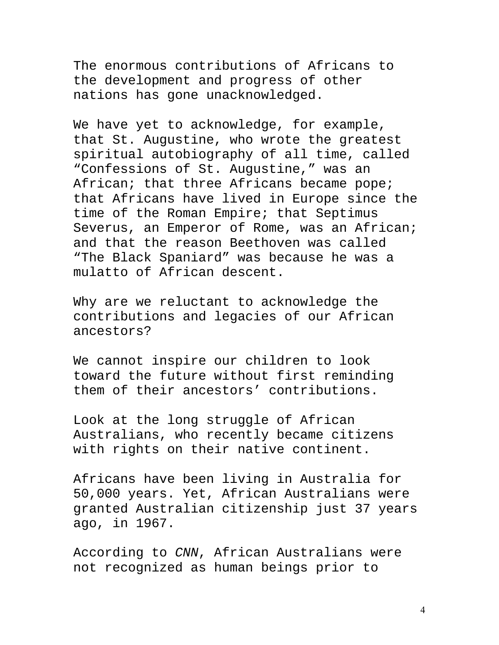The enormous contributions of Africans to the development and progress of other nations has gone unacknowledged.

We have yet to acknowledge, for example, that St. Augustine, who wrote the greatest spiritual autobiography of all time, called "Confessions of St. Augustine," was an African; that three Africans became pope; that Africans have lived in Europe since the time of the Roman Empire; that Septimus Severus, an Emperor of Rome, was an African; and that the reason Beethoven was called "The Black Spaniard" was because he was a mulatto of African descent.

Why are we reluctant to acknowledge the contributions and legacies of our African ancestors?

We cannot inspire our children to look toward the future without first reminding them of their ancestors' contributions.

Look at the long struggle of African Australians, who recently became citizens with rights on their native continent.

Africans have been living in Australia for 50,000 years. Yet, African Australians were granted Australian citizenship just 37 years ago, in 1967.

According to CNN, African Australians were not recognized as human beings prior to